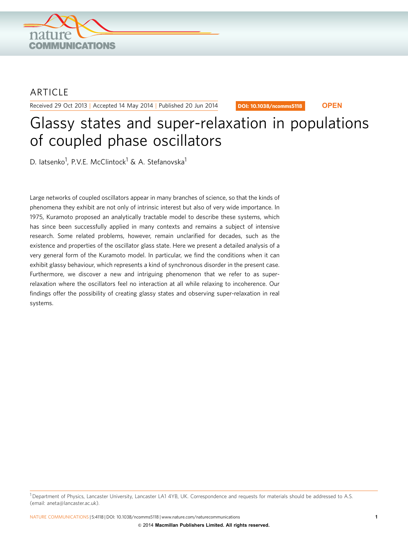

# **ARTICLE**

Received 29 Oct 2013 | Accepted 14 May 2014 | Published 20 Jun 2014

DOI: 10.1038/ncomms5118 **OPEN**

# Glassy states and super-relaxation in populations of coupled phase oscillators

D. latsenko<sup>1</sup>, P.V.E. McClintock<sup>1</sup> & A. Stefanovska<sup>1</sup>

Large networks of coupled oscillators appear in many branches of science, so that the kinds of phenomena they exhibit are not only of intrinsic interest but also of very wide importance. In 1975, Kuramoto proposed an analytically tractable model to describe these systems, which has since been successfully applied in many contexts and remains a subject of intensive research. Some related problems, however, remain unclarified for decades, such as the existence and properties of the oscillator glass state. Here we present a detailed analysis of a very general form of the Kuramoto model. In particular, we find the conditions when it can exhibit glassy behaviour, which represents a kind of synchronous disorder in the present case. Furthermore, we discover a new and intriguing phenomenon that we refer to as superrelaxation where the oscillators feel no interaction at all while relaxing to incoherence. Our findings offer the possibility of creating glassy states and observing super-relaxation in real systems.

 $1$  Department of Physics, Lancaster University, Lancaster LA1 4YB, UK. Correspondence and requests for materials should be addressed to A.S. (email: [aneta@lancaster.ac.uk\)](mailto:aneta@lancaster.ac.uk).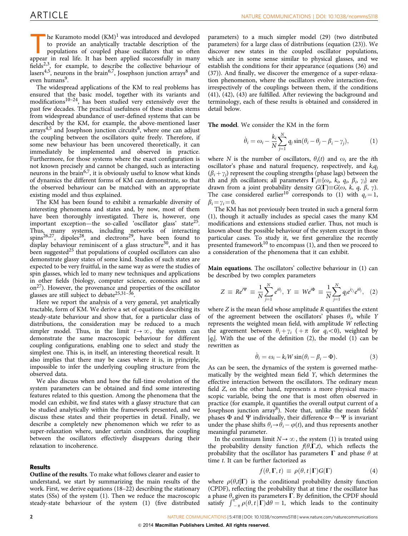The Kuramoto model  $(KM)^1$  $(KM)^1$  was introduced and developed to provide an analytically tractable description of the populations of coupled phase oscillators that so often appear in real life. It has been applied successfully in many fields<sup>2,3</sup>, for example, to describe the collective behaviour of lasers<sup>[4,5](#page-9-0)</sup>, neurons in the brain<sup>6,7</sup>, Josephson junction arrays<sup>[8](#page-9-0)</sup> and even humans<sup>[9](#page-9-0)</sup>.

The widespread applications of the KM to real problems has ensured that the basic model, together with its variants and modifications<sup>10–24</sup>, has been studied very extensively over the past few decades. The practical usefulness of these studies stems from widespread abundance of user-defined systems that can be described by the KM, for example, the above-mentioned laser  $arrays<sup>4,5</sup>$  $arrays<sup>4,5</sup>$  $arrays<sup>4,5</sup>$  and Josephson junction circuits<sup>8</sup>, where one can adjust the coupling between the oscillators quite freely. Therefore, if some new behaviour has been uncovered theoretically, it can immediately be implemented and observed in practice. Furthermore, for those systems where the exact configuration is not known precisely and cannot be changed, such as interacting neurons in the brain<sup>6,7</sup>, it is obviously useful to know what kinds of dynamics the different forms of KM can demonstrate, so that the observed behaviour can be matched with an appropriate existing model and thus explained.

The KM has been found to exhibit a remarkable diversity of interesting phenomena and states and, by now, most of them have been thoroughly investigated. There is, however, one important exception—the so-called 'oscillator glass' state<sup>25</sup>. Thus, many systems, including networks of interacting spins<sup>[26,27](#page-9-0)</sup>, dipoles<sup>28</sup>, and electrons<sup>29</sup>, have been found to display behaviour reminiscent of a glass structure<sup>30</sup>, and it has been suggested<sup>[25](#page-9-0)</sup> that populations of coupled oscillators can also demonstrate glassy states of some kind. Studies of such states are expected to be very fruitful, in the same way as were the studies of spin glasses, which led to many new techniques and applications in other fields (biology, computer science, economics and so  $\text{on}^{27}$ ). However, the provenance and properties of the oscillator glasses are still subject to debate<sup>[25,31–36](#page-9-0)</sup>.

Here we report the analysis of a very general, yet analytically tractable, form of KM. We derive a set of equations describing its steady-state behaviour and show that, for a particular class of distributions, the consideration may be reduced to a much simpler model. Thus, in the limit  $t \rightarrow \infty$ , the system can demonstrate the same macroscopic behaviour for different coupling configurations, enabling one to select and study the simplest one. This is, in itself, an interesting theoretical result. It also implies that there may be cases where it is, in principle, impossible to infer the underlying coupling structure from the observed data.

We also discuss when and how the full-time evolution of the system parameters can be obtained and find some interesting features related to this question. Among the phenomena that the model can exhibit, we find states with a glassy structure that can be studied analytically within the framework presented, and we discuss these states and their properties in detail. Finally, we describe a completely new phenomenon which we refer to as super-relaxation where, under certain conditions, the coupling between the oscillators effectively disappears during their relaxation to incoherence.

### Results

Outline of the results. To make what follows clearer and easier to understand, we start by summarizing the main results of the work. First, we derive equations (18–22) describing the stationary states (SSs) of the system (1). Then we reduce the macroscopic steady-state behaviour of the system (1) (five distributed

parameters) to a much simpler model (29) (two distributed parameters) for a large class of distributions (equation (23)). We discover new states in the coupled oscillator populations, which are in some sense similar to physical glasses, and we establish the conditions for their appearance (equations (36) and (37)). And finally, we discover the emergence of a super-relaxation phenomenon, where the oscillators evolve interaction-free, irrespectively of the couplings between them, if the conditions (41), (42), (43) are fulfilled. After reviewing the background and terminology, each of these results is obtained and considered in detail below.

The model. We consider the KM in the form

$$
\dot{\theta}_i = \omega_i - \frac{k_i}{N} \sum_{j=1}^N q_j \sin(\theta_i - \theta_j - \beta_i - \gamma_j), \tag{1}
$$

where N is the number of oscillators,  $\theta_i(t)$  and  $\omega_i$  are the *i*th oscillator's phase and natural frequency, respectively, and  $k_iq_i$  $(\beta_i + \gamma_i)$  represent the coupling strengths (phase lags) between the ith and jth oscillators; all parameters  $\Gamma_i \equiv \{\omega_i, k_i, q_i, \beta_i, \gamma_i\}$  are drawn from a joint probability density  $G(\Gamma)\equiv G(\omega, k, q, \beta, \gamma)$ . The case considered earlier<sup>[10](#page-9-0)</sup> corresponds to (1) with  $q_i = 1$ ,  $\beta_i = \gamma_i = 0.$ 

The KM has not previously been treated in such a general form (1), though it actually includes as special cases the many KM modifications and extensions studied earlier. Thus, not much is known about the possible behaviour of the system except in those particular cases. To study it, we first generalize the recently presented framework<sup>[10](#page-9-0)</sup> to encompass  $(1)$ , and then we proceed to a consideration of the phenomena that it can exhibit.

Main equations. The oscillators' collective behaviour in (1) can be described by two complex parameters

$$
Z \equiv Re^{i\Psi} \equiv \frac{1}{N} \sum_{j=1}^{N} e^{i\theta_j}, Y \equiv We^{i\Phi} \equiv \frac{1}{N} \sum_{j=1}^{N} q_j e^{i\gamma_j} e^{i\theta_j}, (2)
$$

where  $Z$  is the mean field whose amplitude  $R$  quantifies the extent of the agreement between the oscillators' phases  $\theta_i$ , while Y represents the weighted mean field, with amplitude W reflecting the agreement between  $\theta_i + \gamma_i$  (  $+\pi$  for  $q_i < 0$ ), weighted by  $|q_i|$ . With the use of the definition (2), the model (1) can be rewritten as

$$
\dot{\theta}_i = \omega_i - k_i W \sin(\theta_i - \beta_i - \Phi). \tag{3}
$$

As can be seen, the dynamics of the system is governed mathematically by the weighted mean field Y, which determines the effective interaction between the oscillators. The ordinary mean field Z, on the other hand, represents a more physical macroscopic variable, being the one that is most often observed in practice (for example, it quantifies the overall output current of a Josephson junction array<sup>8</sup>). Note that, unlike the mean fields' phases  $\Phi$  and  $\Psi$  individually, their difference  $\Phi - \Psi$  is invariant under the phase shifts  $\theta_i \rightarrow \theta_i - \varphi(t)$ , and thus represents another meaningful parameter.

In the continuum limit  $N \rightarrow \infty$ , the system (1) is treated using the probability density function  $f(\theta,\Gamma,t)$ , which reflects the probability that the oscillator has parameters  $\Gamma$  and phase  $\theta$  at time t. It can be further factorized as

$$
f(\theta, \Gamma, t) \equiv \rho(\theta, t | \Gamma) G(\Gamma) \tag{4}
$$

where  $\rho(\theta,t|\Gamma)$  is the conditional probability density function (CPDF), reflecting the probability that at time  $t$  the oscillator has a phase  $\theta$ , given its parameters  $\Gamma$ . By definition, the CPDF should a phase  $\theta$ , given its parameters **1** . by definition, the Cr D<sub>1</sub> should<br>satisfy  $\int_{-\pi}^{\pi} \rho(\theta, t | \mathbf{\Gamma}) d\theta = 1$ , which leads to the continuity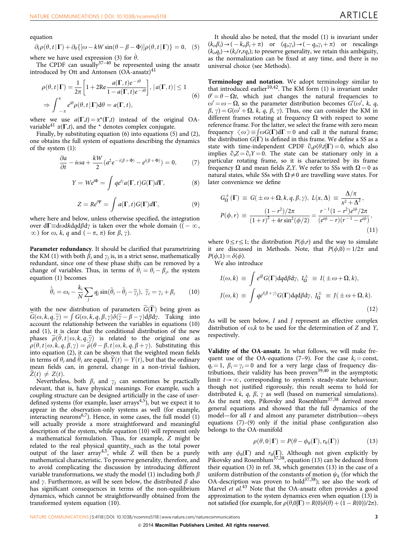equation

$$
\partial_t \rho(\theta, t | \mathbf{\Gamma}) + \partial_\theta \{ [\omega - kW \sin(\theta - \beta - \Phi)] \rho(\theta, t | \mathbf{\Gamma}) \} = 0, \quad (5)
$$

where we have used expression (3) for  $\dot{\theta}$ .

The CPDF can usually $37-40$  be represented using the ansatz introduced by Ott and Antonsen  $(OA\text{-}ansatz)^{41}$  $(OA\text{-}ansatz)^{41}$  $(OA\text{-}ansatz)^{41}$ 

$$
\rho(\theta, t | \mathbf{\Gamma}) = \frac{1}{2\pi} \left[ 1 + 2\text{Re} \frac{a(\mathbf{\Gamma}, t)e^{-i\theta}}{1 - a(\mathbf{\Gamma}, t)e^{-i\theta}} \right], |a(\mathbf{\Gamma}, t)| \le 1
$$
  
\n
$$
\Rightarrow \int_{-\pi}^{\pi} e^{i\theta} \rho(\theta, t | \mathbf{\Gamma}) d\theta = a(\mathbf{\Gamma}, t), \tag{6}
$$

where we use  $a(\Gamma,t) = \alpha^*(\Gamma,t)$  instead of the original OAvariable<sup>41</sup>  $\alpha(\Gamma,t)$ , and the \* denotes complex conjugate.

Finally, by substituting equation (6) into equations (5) and (2), one obtains the full system of equations describing the dynamics of the system (1):

$$
\frac{\partial a}{\partial t} - i\omega a + \frac{kW}{2} (a^2 e^{-i(\beta + \Phi)} - e^{i(\beta + \Phi)}) = 0, \tag{7}
$$

$$
Y = We^{i\Phi} = \int q e^{i\gamma} a(\Gamma, t) G(\Gamma) d\Gamma, \qquad (8)
$$

$$
Z = Re^{i\Psi} = \int a(\Gamma, t) G(\Gamma) d\Gamma, \qquad (9)
$$

where here and below, unless otherwise specified, the integration over d $\Gamma \!\!\equiv \!\! {\rm d}\omega$ d $k$ d $q$ d $\beta$ d $\gamma$  is taken over the whole domain (( –  $\infty,$  $\infty$ ) for  $\omega$ , k, q and  $(-\pi, \pi)$  for  $\beta$ ,  $\gamma$ ).

Parameter redundancy. It should be clarified that parametrizing the KM (1) with both  $\beta_i$  and  $\gamma_i$  is, in a strict sense, mathematically redundant, since one of these phase shifts can be removed by a change of variables. Thus, in terms of  $\tilde{\theta}_i = \theta_i - \beta_i$ , the system equation (1) becomes

$$
\dot{\tilde{\theta}}_i = \omega_i - \frac{k_i}{N} \sum_j q_j \sin(\tilde{\theta}_i - \tilde{\theta}_j - \tilde{\gamma}_j), \ \tilde{\gamma}_i = \gamma_i + \beta_i \tag{10}
$$

with the new distribution of parameters  $\tilde{G}(\tilde{\Gamma})$  being given as  $\widetilde{G}(\omega, k, q, \widetilde{\gamma}) = \int G(\omega, k, q, \beta, \gamma) \delta(\widetilde{\gamma} - \beta - \gamma) d\beta d\gamma$ . Taking into account the relationship between the variables in equations (10) and (1), it is clear that the conditional distribution of the new phases  $\widetilde{\rho}(\theta,t|\omega,k,q,\widetilde{\gamma})$  is related to the original one as  $\rho(\theta, t | \omega, k, q, \beta, \gamma) = \widetilde{\rho}(\theta - \beta, t | \omega, k, q, \beta + \gamma)$ . Substituting this into equation (2), it can be shown that the weighted mean fields in terms of  $\theta_i$  and  $\theta_i$  are equal,  $Y(t) = Y(t)$ , but that the ordinary mean fields can, in general, change in a non-trivial fashion,  $Z(t) \neq Z(t)$ .

Nevertheless, both  $\beta_i$  and  $\gamma_i$  can sometimes be practically relevant, that is, have physical meanings. For example, such a coupling structure can be designed artificially in the case of user-defined systems (for example, laser arrays<sup>[4,5](#page-9-0)</sup>), but we expect it to appear in the observation-only systems as well (for example, interacting neurons<sup>[6,7](#page-9-0)</sup>). Hence, in some cases, the full model  $(1)$ will actually provide a more straightforward and meaningful description of the system, while equation (10) will represent only a mathematical formulation. Thus, for example, Z might be related to the real physical quantity, such as the total power output of the laser array<sup>4,5</sup>, while  $\tilde{Z}$  will then be a purely mathematical characteristic. To preserve generality, therefore, and to avoid complicating the discussion by introducing different variable transformations, we study the model (1) including both  $\beta$ and  $\gamma$ . Furthermore, as will be seen below, the distributed  $\beta$  also has significant consequences in terms of the non-equilibrium dynamics, which cannot be straightforwardly obtained from the transformed system equation (10).

It should also be noted, that the model (1) is invariant under  $(k_i, \beta_i) \rightarrow (-k_i, \beta_i + \pi)$  or  $(q_i, \gamma_i) \rightarrow (-q_i, \gamma_i + \pi)$  or rescalings  $(k_i,q_i)\rightarrow(k_i/r,rq_i)$ ; to preserve generality, we retain this ambiguity, as the normalization can be fixed at any time, and there is no universal choice (see Methods).

Terminology and notation. We adopt terminology similar to that introduced earlier<sup>[10,42](#page-9-0)</sup>. The KM form  $(1)$  is invariant under  $\theta' = \theta - \Omega t$ , which just changes the natural frequencies to  $\omega' = \omega - \Omega$ , so the parameter distribution becomes  $G'(\omega', k, q, \Omega)$  $\beta$ ,  $\gamma$ ) = G( $\omega'$  +  $\Omega$ , k, q,  $\beta$ ,  $\gamma$ ). Thus, one can consider the KM in different frames rotating at frequency  $\Omega$  with respect to some reference frame. For the latter, we select the frame with zero mean frequency  $\langle \omega \rangle = \int \omega G(\Gamma) d\Gamma = 0$  and call it the natural frame;<br>the distribution  $G(\Gamma)$  is defined in this frame. We define a SS as a the distribution  $G(\Gamma)$  is defined in this frame. We define a SS as a state with time-independent CPDF  $\partial_t \rho(\theta,t|\Gamma) = 0$ , which also implies  $\partial_t Z = \partial_t Y = 0$ . The state can be stationary only in a particular rotating frame, so it is characterized by its frame frequency  $\Omega$  and mean fields Z, Y. We refer to SSs with  $\Omega = 0$  as natural states, while SSs with  $\Omega \neq 0$  are travelling wave states. For later convenience we define

$$
G_{\Omega}^{\pm}(\Gamma) \equiv G(\pm \omega + \Omega, k, q, \beta, \gamma), L(x, \Delta) \equiv \frac{\Delta/\pi}{x^2 + \Delta^2},
$$
  

$$
P(\phi, r) \equiv \frac{(1 - r^2)/2\pi}{(1 + r)^2 + 4r\sin^2(\phi/2)} = \frac{r^{-1}(1 - r^2)e^{i\phi}/2\pi}{(e^{i\phi} - r)(r^{-1} - e^{i\phi})},
$$
  
(11)

where  $0 \le r \le 1$ ; the distribution  $P(\phi,r)$  and the way to simulate it are discussed in Methods. Note, that  $P(\phi,0) = 1/2\pi$  and  $P(\phi,1) = \delta(\phi)$ .

We also introduce

$$
I(\omega, k) \equiv \int e^{i\beta} G(\Gamma) dq d\beta dy, I_{\Omega}^{\pm} \equiv I(\pm \omega + \Omega, k),
$$
  

$$
J(\omega, k) \equiv \int q e^{i(\beta + \gamma)} G(\Gamma) dq d\beta dy, J_{\Omega}^{\pm} \equiv J(\pm \omega + \Omega, k).
$$
 (12)

As will be seen below, I and J represent an effective complex distribution of  $\omega$ , k to be used for the determination of Z and Y, respectively.

Validity of the OA-ansatz. In what follows, we will make frequent use of the OA-equations (7–9). For the case  $k_i = \text{const}$ ,  $q_i = 1$ ,  $\beta_i = \gamma_i = 0$  and for a very large class of frequency distributions, their validity has been proven[39,40](#page-9-0) in the asymptotic limit  $t \rightarrow \infty$ , corresponding to system's steady-state behaviour; though not justified rigorously, this result seems to hold for distributed k, q,  $\beta$ ,  $\gamma$  as well (based on numerical simulations). As the next step, Pikovsky and Rosenblum<sup>37,38</sup> derived more general equations and showed that the full dynamics of the model—for all  $t$  and almost any parameter distribution—obeys equations  $(7)-(9)$  only if the initial phase configuration also belongs to the OA-manifold

$$
\rho(\theta,0|\Gamma) = P(\theta - \phi_0(\Gamma), r_0(\Gamma)) \tag{13}
$$

with any  $\phi_0(\Gamma)$  and  $r_0(\Gamma)$ . Although not given explicitly by Pikovsky and Rosenblum<sup>[37,38](#page-9-0)</sup>, equation (13) can be deduced from their equation (3) in [ref. 38,](#page-9-0) which generates (13) in the case of a uniform distribution of the constants of motion  $\psi_k$  (for which the OA-description was proven to hold<sup>37,38</sup>); see also the work of Marvel et al.<sup>[43](#page-9-0)</sup> Note that the OA-ansatz often provides a good approximation to the system dynamics even when equation (13) is not satisfied (for example, for  $\rho(\theta,0|\Gamma) = R(0)\delta(\theta) + (1 - R(0))/2\pi$ ).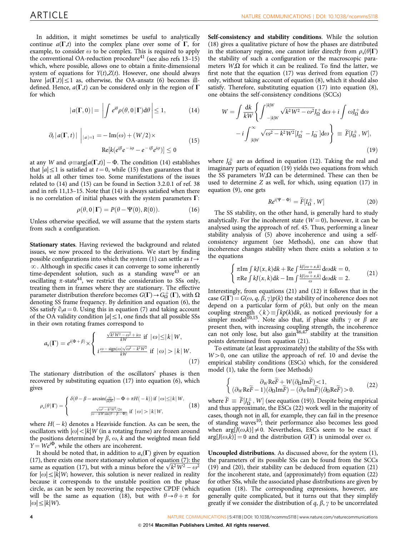In addition, it might sometimes be useful to analytically continue  $a(\Gamma,t)$  into the complex plane over some of  $\Gamma$ , for example, to consider  $\omega$  to be complex. This is required to apply the conventional OA-reduction procedure<sup>[41](#page-9-0)</sup> (see also refs  $13-15$ ) which, where possible, allows one to obtain a finite-dimensional system of equations for  $Y(t)$ , $Z(t)$ . However, one should always have  $|a(\Gamma,t)| \leq 1$  as, otherwise, the OA-ansatz (6) becomes illdefined. Hence,  $a(\Gamma,t)$  can be considered only in the region of  $\Gamma$ for which

$$
|a(\Gamma,0)| = \left| \int e^{i\theta} \rho(\theta,0|\Gamma) d\theta \right| \le 1, \tag{14}
$$

$$
\partial_t |a(\Gamma, t)| \bigg|_{|a|=1} = -\operatorname{Im}(\omega) + (W/2) \times
$$
  
Re[ $k(e^{i\beta}e^{-i\varphi} - e^{-i\beta}e^{i\varphi})] \le 0$  (15)

at any W and  $\varphi{\equiv}\textrm{arg}[a(\Gamma{,}t)] - \Phi.$  The condition (14) establishes that  $|a| \leq 1$  is satisfied at  $t = 0$ , while (15) then guarantees that it holds at all other times too. Some manifestations of the issues related to (14) and (15) can be found in Section 3.2.0.1 of [ref. 38](#page-9-0) and in [refs 11,13–15](#page-9-0). Note that (14) is always satisfied when there is no correlation of initial phases with the system parameters  $\Gamma$ :

$$
\rho(\theta,0|\Gamma) = P(\theta - \Psi(0),R(0)).\tag{16}
$$

Unless otherwise specified, we will assume that the system starts from such a configuration.

Stationary states. Having reviewed the background and related issues, we now proceed to the derivations. We start by finding possible configurations into which the system (1) can settle as  $t \rightarrow$  $\infty$ . Although in specific cases it can converge to some inherently time-dependent solution, such as a standing wave<sup>[43](#page-9-0)</sup> or an oscillating  $\pi$ -state<sup>44</sup>, we restrict the consideration to SSs only, treating them in frames where they are stationary. The effective parameter distribution therefore becomes  $G(\Gamma) \! \rightarrow \! G^+_{\Omega}(\Gamma),$  with  $\Omega$ denoting SS frame frequency. By definition and equation (6), the SSs satisfy  $\partial_t a = 0$ . Using this in equation (7) and taking account of the OA validity condition  $|a|\leq 1$ , one finds that all possible SSs in their own rotating frames correspond to

$$
a_{s}(\Gamma) = e^{i(\Phi+\beta)} \times \begin{cases} \frac{\sqrt{k^{2}W^{2}-\omega^{2}}+i\omega}{kW} \text{ if } |\omega| \leq |k|W, \\ i\frac{\omega-\text{sign}(\omega)\sqrt{\omega^{2}-k^{2}W^{2}}}{kW} \text{ if } |\omega| > |k|W. \end{cases}
$$
(17)

The stationary distribution of the oscillators' phases is then recovered by substituting equation (17) into equation (6), which gives

$$
\rho_{s}(\theta | \mathbf{\Gamma}) = \begin{cases} \delta(\theta - \beta - \arcsin(\frac{\omega}{|k|W}) - \Phi + \pi H(-k)) & \text{if } |\omega| \le |k|W, \\ \frac{\sqrt{\omega^2 - k^2 W^2}/2\pi}{|\omega - kW \sin(\theta - \beta - \Phi)|} & \text{if } |\omega| > |k|W, \end{cases} \tag{18}
$$

where  $H(-k)$  denotes a Heaviside function. As can be seen, the oscillators with  $|\omega|$  <  $|k|$  W (in a rotating frame) are frozen around the positions determined by  $\beta$ ,  $\omega$ ,  $k$  and the weighted mean field  $Y = We^{i\Phi}$ , while the others are incoherent.

It should be noted that, in addition to  $a_s(\Gamma)$  given by equation (17), there exists one more stationary solution of equation (7): the (17), there exists one more stationary solution of equation (7): the same as equation (17), but with a minus before the  $\sqrt{k^2 W^2 - \omega^2}$ for  $|\omega| \leq |k|W$ ; however, this solution is never realized in reality because it corresponds to the unstable position on the phase circle, as can be seen by recovering the respective CPDF (which will be the same as equation (18), but with  $\theta \rightarrow \theta + \pi$  for  $|\omega|\leq |k|W$ ).

Self-consistency and stability conditions. While the solution (18) gives a qualitative picture of how the phases are distributed in the stationary regime, one cannot infer directly from  $\rho_s(\theta|\Gamma)$ the stability of such a configuration or the macroscopic parameters  $W_{\mathcal{N}}\Omega$  for which it can be realized. To find the latter, we first note that the equation (17) was derived from equation (7) only, without taking account of equation (8), which it should also satisfy. Therefore, substituting equation (17) into equation (8), one obtains the self-consistency conditions (SCCs)

$$
W = \int \frac{dk}{kW} \left\{ \int_{-|k|W}^{-|k|W} \sqrt{k^2 W^2 - \omega^2} J_{\Omega}^+ d\omega + i \int \omega J_{\Omega}^+ d\omega \right\}
$$

$$
- i \int_{|k|W}^{\infty} \sqrt{\omega^2 - k^2 W^2} [J_{\Omega}^+ - J_{\Omega}^-] d\omega \right\} \equiv \widetilde{F}[J_{\Omega}^{\pm}, W], \tag{19}
$$

where  $J_{\Omega}^{\pm}$  are as defined in equation (12). Taking the real and imaginary parts of equation (19) yields two equations from which the SS parameters  $W$ , $\Omega$  can be determined. These can then be used to determine Z as well, for which, using equation (17) in equation (9), one gets

$$
Re^{i(\Psi - \Phi)} = \widetilde{F}[I_{\Omega}^{\pm}, W] \tag{20}
$$

The SS stability, on the other hand, is generally hard to study analytically. For the incoherent state  $(W = 0)$ , however, it can be analysed using the approach of [ref. 45.](#page-9-0) Thus, performing a linear stability analysis of (5) above incoherence and using a selfconsistency argument (see Methods), one can show that incoherence changes stability when there exists a solution  $x$  to the equations

$$
\begin{cases} \pi \text{Im} \int k J(x,k) \, \mathrm{d}k + \text{Re} \int \frac{k J(\omega + x, k)}{\omega} \, \mathrm{d}\omega \, \mathrm{d}k = 0, \\ \pi \text{Re} \int k J(x,k) \, \mathrm{d}k - \text{Im} \int \frac{k J(\omega + x, k)}{\omega} \, \mathrm{d}\omega \, \mathrm{d}k = 2. \end{cases} \tag{21}
$$

Interestingly, from equations (21) and (12) it follows that in the case  $G(\Gamma) = G(\omega, q, \beta, \gamma)p(k)$  the stability of incoherence does not depend on a particular form of  $p(k)$ , but only on the mean coupling strength  $\langle k \rangle = \int k p(k) dk$ , as noticed previously for a<br>simpler model<sup>10,15</sup>. Note also that if phase shifts v or *B* are simpler model<sup>[10,15](#page-9-0)</sup>. Note also that, if phase shifts  $\gamma$  or  $\beta$  are present then, with increasing coupling strength, the incoherence can not only lose, but also gain<sup>[46,47](#page-9-0)</sup> stability at the transition points determined from equation (21).

To estimate (at least approximately) the stability of the SSs with  $W>0$ , one can utilize the approach of [ref. 10](#page-9-0) and devise the empirical stability conditions (ESCs) which, for the considered model (1), take the form (see Methods)

$$
\begin{cases} \partial_W \text{Re}\widetilde{F} + W(\partial_{\Omega} \text{Im}\widetilde{F}) < 1, \\ (\partial_W \text{Re}\widetilde{F} - 1)(\partial_{\Omega} \text{Im}\widetilde{F}) - (\partial_W \text{Im}\widetilde{F})(\partial_{\Omega} \text{Re}\widetilde{F}) > 0. \end{cases} (22)
$$

where  $\tilde{F} \equiv \tilde{F}[J_{\Omega}^{\pm}, W]$  (see equation (19)). Despite being empirical and thus approximate, the ESCs (22) work well in the majority of cases, though not in all, for example, they can fail in the presence of standing waves<sup>10</sup>; their performance also becomes less good when  $arg[J(\omega,k)] \neq 0$ . Nevertheless, ESCs seem to be exact if  $arg[J(\omega,k)] = 0$  and the distribution  $G(\Gamma)$  is unimodal over  $\omega$ .

Uncoupled distributions. As discussed above, for the system (1), the parameters of its possible SSs can be found from the SCCs (19) and (20), their stability can be deduced from equation (21) for the incoherent state, and (approximately) from equation (22) for other SSs, while the associated phase distributions are given by equation (18). The corresponding expressions, however, are generally quite complicated, but it turns out that they simplify greatly if we consider the distribution of q,  $\beta$ ,  $\gamma$  to be uncorrelated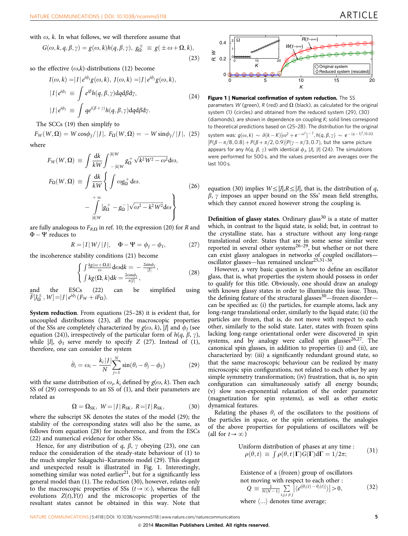<span id="page-4-0"></span>with  $\omega$ , k. In what follows, we will therefore assume that

$$
G(\omega, k, q, \beta, \gamma) = g(\omega, k)h(q, \beta, \gamma), g_{\Omega}^{\pm} \equiv g(\pm \omega + \Omega, k),
$$
\n(23)

so the effective  $(\omega, k)$ -distributions (12) become

$$
I(\omega, k) = |I| e^{i\phi_I} g(\omega, k), \ I(\omega, k) = |J| e^{i\phi_J} g(\omega, k),
$$
  
\n
$$
|I| e^{i\phi_I} \equiv \int e^{i\beta} h(q, \beta, \gamma) dq d\beta dy,
$$
  
\n
$$
|J| e^{i\phi_J} \equiv \int q e^{i(\beta + \gamma)} h(q, \beta, \gamma) dq d\beta dy.
$$
\n(24)

The SCCs (19) then simplify to

 $F_W(W, \Omega) = W \cos \phi_J / |J|, F_\Omega(W, \Omega) = -W \sin \phi_J / |J|, (25)$ where

$$
F_W(W, \Omega) \equiv \int \frac{dk}{kW} \int_{-|k|W}^{|k|W} g_{\Omega}^+ \sqrt{k^2 W^2 - \omega^2} d\omega,
$$
  
\n
$$
F_{\Omega}(W, \Omega) \equiv \int \frac{dk}{kW} \left\{ \int \omega g_{\Omega}^+ d\omega.
$$
  
\n
$$
- \int_{|k|W}^{+\infty} [g_{\Omega}^+ - g_{\Omega}^-] \sqrt{\omega^2 - k^2 W^2} d\omega \right\}
$$
\n(26)

are fully analogous to  $F_{R,\Omega}$  in [ref. 10;](#page-9-0) the expression (20) for R and  $\Phi - \Psi$  reduces to

$$
R = |I| W / |J|, \quad \Phi - \Psi = \phi_J - \phi_I,
$$
 (27)

the incoherence stability conditions (21) become

$$
\begin{cases}\n\int \frac{kg(\omega + \Omega, k)}{\omega} d\omega dk = -\frac{2\sin\phi_I}{|I|},\\ \n\int kg(\Omega, k) dk = \frac{2\cos\phi_I}{\pi |I|},\n\end{cases}
$$
\n(28)

and the ESCs (22) can be simplified using  $\widetilde{F}[J_\Omega^{\pm},W]=|J|\,e^{i\phi_J}(F_W+iF_\Omega).$ 

System reduction. From equations (25–28) it is evident that, for uncoupled distributions (23), all the macroscopic properties of the SSs are completely characterized by  $g(\omega, k)$ , |J| and  $\phi_I$  (see equation (24)), irrespectively of the particular form of  $h(q, \beta, \gamma)$ , while  $|I|$ ,  $\phi_I$  serve merely to specify Z (27). Instead of (1), therefore, one can consider the system

$$
\dot{\theta}_i = \omega_i - \frac{k_i |J|}{N} \sum_{j=1}^N \sin(\theta_i - \theta_j - \phi_j)
$$
 (29)

with the same distribution of  $\omega_i$ ,  $k_i$  defined by  $g(\omega, k)$ . Then each SS of (29) corresponds to an SS of (1), and their parameters are related as

$$
\Omega = \Omega_{SK}, \ W = |J| R_{SK}, \ R = |I| R_{SK}, \tag{30}
$$

where the subscript SK denotes the states of the model (29); the stability of the corresponding states will also be the same, as follows from equation (28) for incoherence, and from the ESCs (22) and numerical evidence for other SSs.

Hence, for any distribution of q,  $\beta$ ,  $\gamma$  obeying (23), one can reduce the consideration of the steady-state behaviour of (1) to the much simpler Sakaguchi–Kuramoto model (29). This elegant and unexpected result is illustrated in Fig. 1. Interestingly, something similar was noted earlier<sup>21</sup>, but for a significantly less general model than (1). The reduction (30), however, relates only to the macroscopic properties of SSs ( $t \rightarrow \infty$ ), whereas the full evolutions  $Z(t)$ ,  $Y(t)$  and the microscopic properties of the resultant states cannot be obtained in this way. Note that



Figure 1 | Numerical confirmation of system reduction. The SS parameters W (green), R (red) and  $\Omega$  (black), as calculated for the original system (1) (circles) and obtained from the reduced system (29), (30) (diamonds), are shown in dependence on coupling K; solid lines correspond to theoretical predictions based on (25–28). The distribution for the original system was:  $g(\omega, k) \sim \delta(k - K)[\omega^2 + e^{-\omega^2}]^{-1}$ ,  $h(q, \beta, \gamma) \sim e^{-(q-1)^2/0.02}$  $[P(\beta - \pi/8, 0.8) + P(\beta + \pi/2, 0.9)]P(\gamma - \pi/3, 0.7)$ , but the same picture appears for any  $h(q, \beta, \gamma)$  with identical  $\phi_j$ , |J|, |I| (24). The simulations were performed for 500 s, and the values presented are averages over the last 100 s.

equation (30) implies  $W \le |J|, R \le |I|$ , that is, the distribution of q,  $\beta$ ,  $\gamma$  imposes an upper bound on the SSs' mean field strengths, which they cannot exceed however strong the coupling is.

**Definition of glassy states.** Ordinary glass<sup>[30](#page-9-0)</sup> is a state of matter which, in contrast to the liquid state, is solid; but, in contrast to the crystalline state, has a structure without any long-range translational order. States that are in some sense similar were reported in several other systems<sup>26-29</sup>, but whether or not there can exist glassy analogues in networks of coupled oscillators oscillator glasses—has remained unclear<sup>25,31-36</sup>.

However, a very basic question is how to define an oscillator glass, that is, what properties the system should possess in order to qualify for this title. Obviously, one should draw an analogy with known glassy states in order to illuminate this issue. Thus, the defining feature of the structural glasses<sup>[30](#page-9-0)</sup>—frozen disorder can be specified as: (i) the particles, for example atoms, lack any long-range translational order, similarly to the liquid state; (ii) the particles are frozen, that is, do not move with respect to each other, similarly to the solid state. Later, states with frozen spins lacking long-range orientational order were discovered in spin systems, and by analogy were called spin glasses $26,27$ . The canonical spin glasses, in addition to properties (i) and (ii), are characterized by: (iii) a significantly redundant ground state, so that the same macroscopic behaviour can be realized by many microscopic spin configurations, not related to each other by any simple symmetry transformation; (iv) frustration, that is, no spin configuration can simultaneously satisfy all energy bounds; (v) slow non-exponential relaxation of the order parameter (magnetization for spin systems), as well as other exotic dynamical features.

Relating the phases  $\theta_i$  of the oscillators to the positions of the particles in space, or the spin orientations, the analogies of the above properties for populations of oscillators will be (all for  $t\rightarrow\infty$ )

Uniform distribution of phases at any time :  
\n
$$
\rho(\theta, t) \equiv \int \rho(\theta, t | \mathbf{\Gamma}) G(\mathbf{\Gamma}) d\mathbf{\Gamma} = 1/2\pi;
$$
\n(31)

Existence of a (frozen) group of oscillators

not moving with respect to each other :  
\n
$$
Q \equiv \frac{1}{N(N-1)} \sum_{i,j,i \neq j} |\langle e^{i[\theta_i(t) - \theta_j(t)]} \rangle| > 0,
$$
\n(32)

where  $\langle \ldots \rangle$  denotes time average;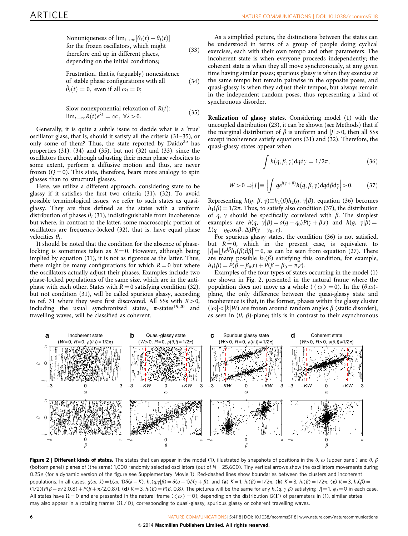<span id="page-5-0"></span>Nonuniqueness of  $\lim_{t\to\infty} [\theta_i(t) - \theta_j(t)]$ for the frozen oscillators; which might therefore end up in different places; depending on the initial conditions;

Frustration, that is, (arguably) nonexistence of stable phase configurations with all  $\dot{\theta}_i(t) = 0$ , even if all  $\omega_i = 0$ ;  $(34)$ 

 $(33)$ 

Slow nonexponential relaxation of *R*(*t*):  
lim<sub>*t*→∞*R*</sub>(*t*)
$$
e^{\lambda t} = \infty
$$
, ∀λ > 0. (35)

Generally, it is quite a subtle issue to decide what is a 'true' oscillator glass, that is, should it satisfy all the criteria (31–35), or only some of them? Thus, the state reported by  $Daido<sup>25</sup>$  $Daido<sup>25</sup>$  $Daido<sup>25</sup>$  has properties  $(31)$ ,  $(34)$  and  $(35)$ , but not  $(32)$  and  $(33)$ , since the oscillators there, although adjusting their mean phase velocities to some extent, perform a diffusive motion and thus, are never frozen  $(Q = 0)$ . This state, therefore, bears more analogy to spin glasses than to structural glasses.

Here, we utilize a different approach, considering state to be glassy if it satisfies the first two criteria (31), (32). To avoid possible terminological issues, we refer to such states as quasiglassy. They are thus defined as the states with a uniform distribution of phases  $\theta_i$  (31), indistinguishable from incoherence but where, in contrast to the latter, some macroscopic portion of oscillators are frequency-locked (32), that is, have equal phase velocities  $\dot{\theta}_i$ .

It should be noted that the condition for the absence of phaselocking is sometimes taken as  $R = 0$ . However, although being implied by equation (31), it is not as rigorous as the latter. Thus, there might be many configurations for which  $R = 0$  but where the oscillators actually adjust their phases. Examples include two phase-locked populations of the same size, which are in the antiphase with each other. States with  $R = 0$  satisfying condition (32), but not condition (31), will be called spurious glassy, according to [ref. 31](#page-9-0) where they were first discovered. All SSs with  $R>0$ , including the usual synchronized states,  $\pi$ -states<sup>[19,20](#page-9-0)</sup> and travelling waves, will be classified as coherent.

As a simplified picture, the distinctions between the states can be understood in terms of a group of people doing cyclical exercises, each with their own tempo and other parameters. The incoherent state is when everyone proceeds independently; the coherent state is when they all move synchronously, at any given time having similar poses; spurious glassy is when they exercise at the same tempo but remain pairwise in the opposite poses, and quasi-glassy is when they adjust their tempos, but always remain in the independent random poses, thus representing a kind of synchronous disorder.

Realization of glassy states. Considering model (1) with the uncoupled distribution (23), it can be shown (see Methods) that if the marginal distribution of  $\beta$  is uniform and  $|J| > 0$ , then all SSs except incoherence satisfy equations (31) and (32). Therefore, the quasi-glassy states appear when

$$
\int h(q,\beta,\gamma)\mathrm{d}q\mathrm{d}\gamma = 1/2\pi,\tag{36}
$$

$$
W > 0 \Rightarrow |J| \equiv \left| \int q e^{i(\gamma + \beta)} h(q, \beta, \gamma) dq d\beta d\gamma \right| > 0. \tag{37}
$$

Representing  $h(q, \beta, \gamma) \equiv h_1(\beta)h_2(q, \gamma|\beta)$ , equation (36) becomes  $h_1(\beta) = 1/2\pi$ . Thus, to satisfy also condition (37), the distribution of q,  $\gamma$  should be specifically correlated with  $\beta$ . The simplest examples are  $h(q, \gamma | \beta) = \delta(q - q_0)P(\gamma + \beta, r)$  and  $h(q, \gamma | \beta) =$  $L(q - q_0 \cos \beta, \Delta) P(\gamma - \gamma_0, r).$ 

For spurious glassy states, the condition (36) is not satisfied, but  $R = 0$ , which in the present case, is equivalent to  $|I| = | \int e^{i\beta} h_1(\beta) d\beta | = 0$ , as can be seen from equation (27). There are many possible  $h_1(\beta)$  satisfying this condition, for example,  $h_1(\beta) = P(\beta - \beta_0, r) + P(\beta - \beta_0 - \pi, r).$ 

Examples of the four types of states occurring in the model (1) are shown in Fig. 2, presented in the natural frame where the population does not move as a whole ( $\langle \omega \rangle = 0$ ). In the  $(\theta,\omega)$ plane, the only difference between the quasi-glassy state and incoherence is that, in the former, phases within the glassy cluster  $(|\omega|<|k|W)$  are frozen around random angles  $\beta$  (static disorder), as seen in  $(\theta, \beta)$ -plane; this is in contrast to their asynchronous



**Figure 2 | Different kinds of states.** The states that can appear in the model (1), illustrated by snapshots of positions in the  $\theta$ ,  $\omega$  (upper panel) and  $\theta$ ,  $\beta$ (bottom panel) planes of (the same) 1,000 randomly selected oscillators (out of  $N = 25,600$ ). Tiny vertical arrows show the oscillators movements during 0.25 s (for a dynamic version of the figure see Supplementary Movie 1). Red-dashed lines show boundaries between the clusters and incoherent populations. In all cases,  $g(\omega, k) = L(\omega, 1)\delta(k - K)$ ,  $h_2(q, \gamma|\beta) = \delta(q - 1)\delta(\gamma + \beta)$ , and (**a**)  $K = 1$ ,  $h_1(\beta) = 1/2\pi$ ; (**b**)  $K = 3$ ,  $h_1(\beta) = 1/2\pi$ ; (**c**)  $K = 3$ ,  $h_1(\beta) = 1/2\pi$ (1/2)[P( $\beta - \pi/2$ ,0.8) + P( $\beta + \pi/2$ ,0.8)]; (**d**) K = 3, h<sub>1</sub>( $\beta$ ) = P( $\beta$ , 0.8). The pictures will be the same for any h<sub>2</sub>(q,  $\gamma|\beta$ ) satisfying |J| = 1,  $\phi$ <sub>J</sub> = 0 in each case. All states have  $\Omega = 0$  and are presented in the natural frame ( $\langle \omega \rangle = 0$ ); depending on the distribution G( $\Gamma$ ) of parameters in (1), similar states may also appear in a rotating frames  $(\Omega \neq 0)$ , corresponding to quasi-glassy, spurious glassy or coherent travelling waves.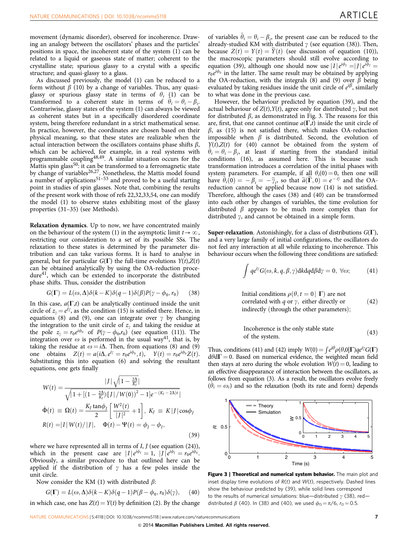movement (dynamic disorder), observed for incoherence. Drawing an analogy between the oscillators' phases and the particles' positions in space, the incoherent state of the system (1) can be related to a liquid or gaseous state of matter; coherent to the crystalline state; spurious glassy to a crystal with a specific structure; and quasi-glassy to a glass.

As discussed previously, the model (1) can be reduced to a form without  $\beta$  (10) by a change of variables. Thus, any quasiglassy or spurious glassy state in terms of  $\theta_i$  (1) can be transformed to a coherent state in terms of  $\hat{\theta}_i = \theta_i - \beta_i$ . Contrariwise, glassy states of the system (1) can always be viewed as coherent states but in a specifically disordered coordinate system, being therefore redundant in a strict mathematical sense. In practice, however, the coordinates are chosen based on their physical meaning, so that these states are realizable when the actual interaction between the oscillators contains phase shifts  $\beta$ , which can be achieved, for example, in a real systems with programmable coupling<sup>[48,49](#page-9-0)</sup>. A similar situation occurs for the Mattis spin glass $^{50}$ : it can be transformed to a ferromagnetic state by change of variables<sup>26,27</sup>. Nonetheless, the Mattis model found a number of applications<sup>51-53</sup> and proved to be a useful starting point in studies of spin glasses. Note that, combining the results of the present work with those of [refs 22,32,33,54,](#page-9-0) one can modify the model (1) to observe states exhibiting most of the glassy properties (31–35) (see Methods).

Relaxation dynamics. Up to now, we have concentrated mainly on the behaviour of the system (1) in the asymptotic limit  $t\rightarrow\infty$ , restricting our consideration to a set of its possible SSs. The relaxation to these states is determined by the parameter distribution and can take various forms. It is hard to analyse in general, but for particular  $G(\Gamma)$  the full-time evolutions  $Y(t)$ , $Z(t)$ can be obtained analytically by using the OA-reduction proce-dure<sup>[41](#page-9-0)</sup>, which can be extended to incorporate the distributed phase shifts. Thus, consider the distribution

$$
G(\Gamma) = L(\omega, \Delta)\delta(k - K)\delta(q - 1)\delta(\beta)P(\gamma - \phi_0, r_0)
$$
 (38)

In this case,  $a(\Gamma,t)$  can be analytically continued inside the unit circle of  $z_{\gamma} = e^{i\gamma}$ , as the condition (15) is satisfied there. Hence, in equations (8) and (9), one can integrate over  $\gamma$  by changing the integration to the unit circle of  $z<sub>y</sub>$  and taking the residue at the pole  $z_{\gamma} = r_0 e^{i\phi_0}$  of  $P(\gamma - \phi_0, r_0)$  (see equation (11)). The integration over  $\omega$  is performed in the usual way<sup>[41](#page-9-0)</sup>, that is, by taking the residue at  $\omega = i\Delta$ . Then, from equations (8) and (9) one obtains  $Z(t) = a(i\Delta, e^{i\gamma} = r_0 e^{i\phi_0}, t), \quad Y(t) = r_0 e^{i\phi_0} Z(t).$ Substituting this into equation (6) and solving the resultant equations, one gets finally

$$
W(t) = \frac{|J|\sqrt{1 - \frac{2\Delta}{K_f}}|}{\sqrt{1 + [(1 - \frac{2\Delta}{K_f})(J]/W(0))^2 - 1]e^{-(K_f - 2\Delta)t}}|}
$$
  
\n
$$
\dot{\Phi}(t) \equiv \Omega(t) = \frac{K_f \tan \phi_J}{2} \left[ \frac{W^2(t)}{|J|^2} + 1 \right], K_J \equiv K|J|\cos \phi_J
$$
  
\n
$$
R(t) = |I| W(t)/|J|, \quad \Phi(t) - \Psi(t) = \phi_J - \phi_I,
$$
\n(39)

where we have represented all in terms of  $I, J$  (see equation (24)), which in the present case are  $|I|e^{i\phi_I} = 1$ ,  $|J|e^{i\phi_J} = r_0e^{i\phi_0}$ . Obviously, a similar procedure to that outlined here can be applied if the distribution of  $\gamma$  has a few poles inside the unit circle.

Now consider the KM (1) with distributed  $\beta$ :

$$
G(\Gamma) = L(\omega, \Delta)\delta(k - K)\delta(q - 1)P(\beta - \phi_0, r_0)\delta(\gamma), \quad (40)
$$

in which case, one has  $Z(t) = Y(t)$  by definition (2). By the change

of variables  $\tilde{\theta}_i = \theta_i - \beta_i$ , the present case can be reduced to the already-studied KM with distributed  $\gamma$  (see equation (38)). Then, because  $Z(t) = Y(t) = \dot{Y}(t)$  (see discussion of equation (10)), the macroscopic parameters should still evolve according to equation (39), although one should now use  $|I|e^{i\phi_I} = |I|e^{i\phi_J} =$  $r_0e^{i\phi_0}$  in the latter. The same result may be obtained by applying the OA-reduction, with the integrals (8) and (9) over  $\beta$  being evaluated by taking residues inside the unit circle of  $e^{i\beta}$ , similarly to what was done in the previous case.

However, the behaviour predicted by equation (39), and the actual behaviour of  $Z(t)$ ,  $Y(t)$ , agree only for distributed  $\gamma$ , but not for distributed  $\beta$ , as demonstrated in Fig. 3. The reasons for this are, first, that one cannot continue  $a(\Gamma,t)$  inside the unit circle of  $\beta$ , as (15) is not satisfied there, which makes OA-reduction impossible when  $\beta$  is distributed. Second, the evolution of  $Y(t), Z(t)$  for (40) cannot be obtained from the system of  $\hat{\theta}_i = \theta_i - \beta_i$ , at least if starting from the standard initial conditions (16), as assumed here. This is because such transformation introduces a correlation of the initial phases with system parameters. For example, if all  $\theta_i(0) = 0$ , then one will have  $\tilde{\theta}_i(0) = -\beta_i = -\tilde{\gamma}_i$ , so that  $\tilde{a}(\tilde{\Gamma}, 0) = e^{-i\tilde{\gamma}}$  and the OAreduction cannot be applied because now (14) is not satisfied. Therefore, although the cases (38) and (40) can be transformed into each other by changes of variables, the time evolution for distributed  $\beta$  appears to be much more complex than for distributed  $\gamma$ , and cannot be obtained in a simple form.

**Super-relaxation.** Astonishingly, for a class of distributions  $G(\Gamma)$ , and a very large family of initial configurations, the oscillators do not feel any interaction at all while relaxing to incoherence. This behaviour occurs when the following three conditions are satisfied:

$$
\int q e^{i\gamma} G(\omega, k, q, \beta, \gamma) \, d\kappa \, d\beta \, d\gamma = 0, \ \forall \omega; \tag{41}
$$

Initial conditions  $\rho(\theta, t = 0 | \Gamma)$  are not correlated with  $q$  or  $\gamma$ , either directly or indirectly (through the other parameters);  $(42)$ 

Incoherence is the only stable state of the system: <sup>ð</sup>43<sup>Þ</sup>

Thus, conditions (41) and (42) imply  $W(0) = \int e^{i\theta} \rho(\theta,0|\Gamma) q e^{i\gamma} G(\Gamma)$  $d\theta d\Gamma = 0$ . Based on numerical evidence, the weighted mean field then stays at zero during the whole evolution  $W(t) = 0$ , leading to an effective disappearance of interaction between the oscillators, as follows from equation (3). As a result, the oscillators evolve freely  $(\dot{\theta}_i = \omega_i)$  and so the relaxation (both its rate and form) depends



Figure 3 | Theoretical and numerical system behavior. The main plot and inset display time evolutions of  $R(t)$  and  $W(t)$ , respectively. Dashed lines show the behaviour predicted by (39), while solid lines correspond to the results of numerical simulations: blue—distributed  $\gamma$  (38), red distributed  $\beta$  (40). In (38) and (40), we used  $\phi_0 = \pi/6$ ,  $r_0 = 0.5$ .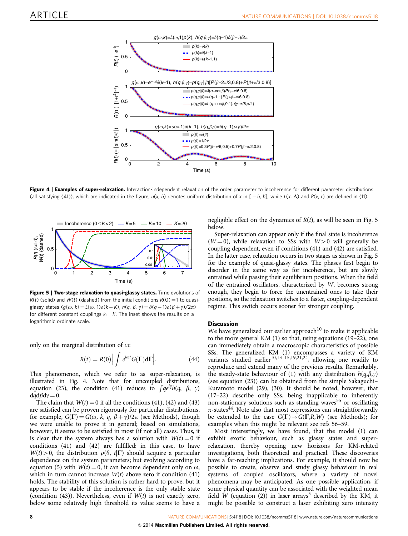

Figure 4 | Examples of super-relaxation. Interaction-independent relaxation of the order parameter to incoherence for different parameter distributions (all satisfying (41)), which are indicated in the figure;  $u(x, b)$  denotes uniform distribution of x in [  $-b$ , b], while L(x,  $\Delta$ ) and P(x, r) are defined in (11).



Figure 5 | Two-stage relaxation to quasi-glassy states. Time evolutions of  $R(t)$  (solid) and  $W(t)$  (dashed) from the initial conditions  $R(0) = 1$  to quasiglassy states (g( $\omega$ , k) = L( $\omega$ , 1) $\delta$ (k – K), h(q,  $\beta$ ,  $\gamma$ ) =  $\delta$ (q – 1) $\delta$ ( $\beta$  +  $\gamma$ )/2 $\pi$ ) for different constant couplings  $k_i = K$ . The inset shows the results on a logarithmic ordinate scale.

only on the marginal distribution of  $\omega$ :

$$
R(t) = R(0) \Big| \int e^{i\omega t} G(\Gamma) d\Gamma \Big|.
$$
 (44)

This phenomenon, which we refer to as super-relaxation, is illustrated in Fig. 4. Note that for uncoupled distributions, mustrated in Fig. 4. Note that for uncoupled distributions,<br>equation (23), the condition (41) reduces to  $\int q e^{i\gamma} h(q, \beta, \gamma)$  $dq d\beta d\gamma = 0.$ 

The claim that  $W(t) = 0$  if all the conditions (41), (42) and (43) are satisfied can be proven rigorously for particular distributions, for example,  $G(\Gamma) = G(\omega, k, q, \beta + \gamma)/2\pi$  (see Methods), though we were unable to prove it in general; based on simulations, however, it seems to be satisfied in most (if not all) cases. Thus, it is clear that the system always has a solution with  $W(t) = 0$  if conditions (41) and (42) are fulfilled: in this case, to have  $W(t) > 0$ , the distribution  $\rho(\theta, t|\Gamma)$  should acquire a particular dependence on the system parameters; but evolving according to equation (5) with  $W(t) = 0$ , it can become dependent only on  $\omega$ , which in turn cannot increase  $W(t)$  above zero if condition (41) holds. The stability of this solution is rather hard to prove, but it appears to be stable if the incoherence is the only stable state (condition (43)). Nevertheless, even if  $W(t)$  is not exactly zero, below some relatively high threshold its value seems to have a

negligible effect on the dynamics of  $R(t)$ , as will be seen in Fig. 5 below.

Super-relaxation can appear only if the final state is incoherence  $(W=0)$ , while relaxation to SSs with  $W>0$  will generally be coupling dependent, even if conditions (41) and (42) are satisfied. In the latter case, relaxation occurs in two stages as shown in Fig. 5 for the example of quasi-glassy states. The phases first begin to disorder in the same way as for incoherence, but are slowly entrained while passing their equilibrium positions. When the field of the entrained oscillators, characterized by W, becomes strong enough, they begin to force the unentrained ones to take their positions, so the relaxation switches to a faster, coupling-dependent regime. This switch occurs sooner for stronger coupling.

# **Discussion**

We have generalized our earlier approach<sup>[10](#page-9-0)</sup> to make it applicable to the more general KM (1) so that, using equations (19–22), one can immediately obtain a macroscopic characteristics of possible SSs. The generalized KM (1) encompasses a variety of KM variants studied earlier $10,13-15,19,21,24$ , allowing one readily to reproduce and extend many of the previous results. Remarkably, the steady-state behaviour of (1) with any distribution  $h(q,\beta,\gamma)$ (see equation (23)) can be obtained from the simple Sakaguchi– Kuramoto model (29), (30). It should be noted, however, that (17–22) describe only SSs, being inapplicable to inherently non-stationary solutions such as standing waves<sup>[55](#page-9-0)</sup> or oscillating  $\pi$ -states<sup>[44](#page-9-0)</sup>. Note also that most expressions can straightforwardly be extended to the case  $G(\Gamma) \rightarrow G(\Gamma, R, W)$  (see Methods); for examples when this might be relevant see [refs 56–59](#page-9-0).

Most interestingly, we have found, that the model (1) can exhibit exotic behaviour, such as glassy states and superrelaxation, thereby opening new horizons for KM-related investigations, both theoretical and practical. These discoveries have a far-reaching implications. For example, it should now be possible to create, observe and study glassy behaviour in real systems of coupled oscillators, where a variety of novel phenomena may be anticipated. As one possible application, if some physical quantity can be associated with the weighted mean field W (equation (2)) in laser arrays<sup>5</sup> described by the KM, it might be possible to construct a laser exhibiting zero intensity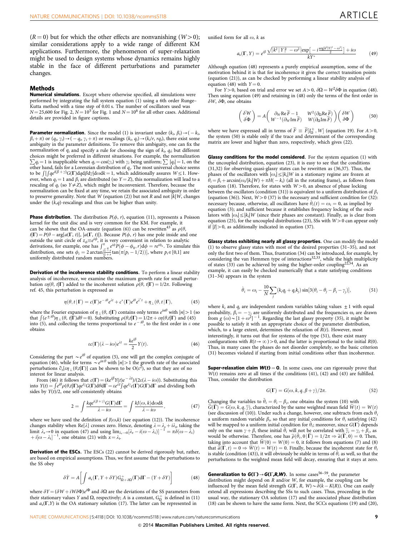$(R = 0)$  but for which the other effects are nonvanishing  $(W>0)$ ; similar considerations apply to a wide range of different KM applications. Furthermore, the phenomenon of super-relaxation might be used to design systems whose dynamics remains highly stable in the face of different perturbations and parameter changes.

#### **Methods**

Numerical simulations. Except where otherwise specified, all simulations were performed by integrating the full system equation (1) using a 6th order Runge– Kutta method with a time step of 0.01 s. The number of oscillators used was  $N = 25,600$  for [Fig. 2,](#page-5-0)  $N = 10^5$  for [Fig. 1](#page-4-0) and  $N = 10^6$  for all other cases. Additional details are provided in figure captions.

**Parameter normalization.** Since the model (1) is invariant under  $(k_i, \beta_i) \rightarrow (-k_i,$  $\beta_i + \pi$ ) or  $(q_i, \gamma_i) \rightarrow (-q_i, \gamma_i + \pi)$  or rescalings  $(k_i, q_i) \rightarrow (k_i/r, r q_i)$ , there exist some ambiguity in the parameter definitions. To remove this ambiguity, one can fix the normalization of  $q_i$  and specify a rule for choosing the sign of  $k_i$ ,  $q_i$ ; but different choices might be preferred in different situations. For example, the normalization  $\sum q_i = 1$  is inapplicable when  $q_i = \cos(\gamma_i)$  with  $\gamma_i$  being uniform;  $\sum |q_i| = 1$ , on the other hand, fails for a Lorenzian distribution of  $q_i$ . The most universal choice seems to be  $\int \int q e^{i(\beta + \gamma)} G(\Gamma) dq d\beta d\gamma | d\alpha dk = 1$ , which additionally assures  $W \le 1$ . However, when  $q_i = 1$  and  $\beta_i$  are distributed (so  $Y = Z$ ), this normalization will lead to a rescaling of  $q_i$  (so  $Y \neq Z$ ), which might be inconvenient. Therefore, because the normalization can be fixed at any time, we retain the associated ambiguity in order to preserve generality. Note that W (equation (2)) but not R and not  $|k|W$ , changes under the  $(k,q)$ -rescalings and thus can be higher than unity.

**Phase distribution.** The distribution  $P(\phi, r)$ , equation (11), represents a Poisson kernel for the unit disc and is very common for the KM. For example, it can be shown that the OA-ansatz (equation (6)) can be rewritten<sup>[43](#page-9-0)</sup> as  $\rho(\theta, \theta)$  $t|\Gamma) = P(\theta - \arg[a(\Gamma, t)], |a(\Gamma, t)|)$ . Because  $P(\phi, r)$  has one pole inside and one outside the unit circle of  $z_{\phi} \equiv e^{i\phi}$ , it is very convenient in relation to analytic derivations, for example, one has  $\int_{\frac{\pi}{4}}^{\frac{\pi}{4}} e^{i\phi} P(\phi - \phi_0, r) d\phi = re^{i\phi_0}$ . To simulate this distribution, one sets  $\phi_i = 2 \arctan[\frac{1-r}{1+r} \tan(\pi(p_i - 1/2))]$ , where  $p_i \in [0,1]$  are uniformly distributed random numbers.

Derivation of the incoherence stability conditions. To perform a linear stability analysis of incoherence, we examine the maximum growth rate for small perturbation  $\epsilon \eta(\theta, t|\Gamma)$  added to the incoherent solution  $\rho(\theta, t|\Gamma) = 1/2\pi$ . Following [ref. 45,](#page-9-0) this perturbation is expressed as

$$
\eta(\theta, t | \mathbf{\Gamma}) = c(\mathbf{\Gamma})e^{-i\theta}e^{\lambda t} + c^*(\mathbf{\Gamma})e^{i\theta}e^{\lambda^* t} + \eta_{\perp}(\theta, t | \mathbf{\Gamma}), \tag{45}
$$

where the Fourier expansion of  $\eta_{\perp}(\theta, t|\Gamma)$  contains only terms  $e^{in\theta}$  with  $|n|>1$  (so that  $\int (e^{\pm i\theta})\eta_{\perp}(\theta, t|\Gamma) d\theta = 0$ . Substituting  $\rho(\theta, t|\Gamma) = 1/2\pi + \varepsilon \eta(\theta, t|\Gamma)$  and  $(45)$  into  $(5)$  and collecting the terms proportional to  $e^{-i\theta}$  to the first order in  $\varepsilon$  or into (5), and collecting the terms proportional to  $e^{-i\theta}$ , to the first order in  $\varepsilon$  one obtains

$$
\varepsilon c(\Gamma)(\lambda - i\omega)e^{\lambda t} = \frac{k e^{i\beta}}{2} Y(t).
$$
 (46)

Considering the part  $\sim e^{i\theta}$  of equation (5), one will get the complex conjugate of equation (46), while for terms  $\sim e^{in\theta}$  with  $|n|>1$  the growth rate of the associated perturbations  $\partial_t[\varepsilon\eta_{\perp}(\theta,t|\Gamma)]$  can be shown to be  $O(\varepsilon^2)$ , so that they are of no interest for linear analysis.

From (46) it follows that  $c(\Gamma) = (ke^{i\beta} Y(t)e^{-\lambda t})/(2\varepsilon(\lambda - i\omega))$ . Substituting this into  $Y(t) = \int e^{i\theta} \rho(\theta, t|\Gamma) q e^{i\gamma} G(\Gamma) d\theta d\Gamma = \varepsilon e^{\lambda t} \int q e^{i\gamma} G(\Gamma) G(\Gamma) d\Gamma$  and dividing both sides by  $Y(t)/2$ , one self-consistently obtains

$$
2 = \int \frac{kq e^{i(\beta + \gamma)} G(\Gamma) d\Gamma}{\lambda - i\omega} = \int \frac{kJ(\omega, k)d\omega dk}{\lambda - i\omega},
$$
 (47)

where we have used the definition of  $J(\omega, k)$  (see equation (12)). The incoherence changes stability when Re[ $\lambda$ ] crosses zero. Hence, denoting  $\lambda = \lambda_r + i\lambda_i$ , taking the limit  $\lambda_r \to 0$  in equation (47) and using  $\lim_{\lambda_r \to 0} [\lambda_r - i(\omega - \lambda_i)]^{-1} = \pi \delta(\omega - \lambda_i)$  $+ i[\omega - \lambda_i]^{-1}$ , one obtains (21) with  $x = \lambda_i$ .

Derivation of the ESCs. The ESCs (22) cannot be derived rigorously but, rather, are based on empirical assumptions. Thus, we first assume that the perturbations to the SS obey

$$
\delta \dot{Y} = A \left[ \int a_s(\Gamma, Y + \delta Y) G_{\Omega + \delta \Omega}^+(\Gamma) d\Gamma - (Y + \delta Y) \right]
$$
(48)

where  $\delta Y$  = ( $\delta W + iW\delta\Phi$ ) $e^{i\Phi}$  and  $\delta\Omega$  are the deviations of the SS parameters from their stationary values Y and  $\Omega$ , respectively; A is a constant,  $G^+_{\Omega}$  is defined in (11) and  $a_s(\Gamma, Y)$  is the OA stationary solution (17). The latter can be represented in

unified form for all  $\omega$ ,  $k$  as

$$
a_{s}(\Gamma, Y) = e^{i\beta} \frac{\sqrt{\left(k^{2}\right)Y\left|\frac{P}{Q} - \omega^{2}\right|} \exp\left[-i\frac{\arg\left[k^{2}\right]Y\left|\frac{P}{2} - \omega^{2}\right|}{2}\right] + i\omega}{kY^{*}}
$$
(49)

Although equation (48) represents a purely empirical assumption, some of the motivation behind it is that for incoherence it gives the correct transition points (equation (21)), as can be checked by performing a linear stability analysis of equation (48) with  $Y = 0$ .

For Y > 0, based on trial and error we set  $A > 0$ ,  $\delta \Omega = W^2 \delta \Phi$  in equation (48). Then using equation (49) and retaining in (48) only the terms of the first order in  $\delta W$ ,  $\delta \Phi$ , one obtains

$$
\left(\begin{array}{c} \delta \,W \\ \delta \Phi \end{array}\right) = A \left(\begin{array}{cc} \partial_W {\rm Re}\, \widetilde{F} - 1 & W^2 (\partial_\Omega {\rm Re}\, \widetilde{F}) \\ W^{-1} (\partial_W {\rm Im}\, \widetilde{F}) & W (\partial_\Omega {\rm Im}\, \widetilde{F}) \end{array}\right) \left(\begin{array}{c} \delta \,W \\ \delta \Phi \end{array}\right) \eqno(50)
$$

where we have expressed all in terms of  $\overline{F} \equiv F[J_\Omega^{\pm}, W]$  (equation 19). For  $A > 0$ , the system (50) is stable only if the trace and determinant of the corresponding matrix are lower and higher than zero, respectively, which gives (22).

Glassy conditions for the model considered. For the system equation (1) with the uncoupled distribution, equation (23), it is easy to see that the conditions (31,32) for observing quasi-glassy states can be rewritten as (36,37). Thus, the phases of the oscillators with  $|\omega_i|\leq |k_i|W$  in a stationary regime are frozen at  $\theta_i = \beta_i + \arcsin(\omega_i/|k_i|W) + \pi H(-k_i)$  (all in the rotating frame), as follows from equation (18). Therefore, for states with  $W>0$ , an absence of phase locking between the oscillators (condition (31)) is equivalent to a uniform distribution of  $\beta_i$ (equation (36)). Next,  $W>0$  (37) is the necessary and sufficient condition for (32): necessary because, otherwise, all oscillators have  $\dot{\theta}_i(t) = \omega_i = 0$ , as implied by equation (3); and sufficient because it establishes frequency locking of the oscillators with  $|\omega_i|\leq |k_i|W$  (since their phases are constant). Finally, as is clear from equation (25), for the uncoupled distributions (23), SSs with  $W>0$  can appear only if  $|J| > 0$ , as additionally indicated in equation (37).

Glassy states exhibiting nearly all glassy properties. One can modify the model (1) to observe glassy states with most of the desired properties (31–35), and not only the first two of them. Thus, frustration (34) can be introduced, for example, by considering the van Hemmen type of interactions<sup>[32,33](#page-9-0)</sup>, while the high multiplicity of states (33) can be achieved by using the higher-order coupling<sup>22,54</sup>. As an example, it can easily be checked numerically that a state satisfying conditions (31–34) appears in the system

$$
\dot{\theta}_i = \omega_i - \frac{10}{N} \sum_j (k_i q_j + q_i k_j) \sin[3(\theta_i - \theta_j - \beta_i - \gamma_j)],\tag{51}
$$

where  $k_i$  and  $q_i$  are independent random variables taking values  $\pm 1$  with equal probability,  $\beta_i = -\gamma_i$  are uniformly distributed and the frequencies  $\omega_i$  are drawn from  $g(\omega) \sim [1 + \omega^2]^{-1}$ . Regarding the last glassy property (35), it might be possible to satisfy it with an appropriate choice of the parameter distribution, which, to a large extent, determines the relaxation of  $R(t)$ . However, most interestingly, it turns out that for systems of the type (51), there exist many configurations with  $R(t\rightarrow\infty) > 0$ , and the latter is proportional to the initial  $R(0)$ . Thus, in many cases the phases do not disorder completely, so the basic criterion (31) becomes violated if starting from initial conditions other than incoherence.

**Super-relaxation claim**  $W(t) = 0$ **.** In some cases, one can rigorously prove that  $W(t)$  remains zero at all times if the conditions (41), (42) and (43) are fulfilled. Thus, consider the distribution

$$
G(\Gamma) = G(\omega, k, q, \beta + \gamma)/2\pi.
$$
 (52)

Changing the variables to  $\tilde{\theta}_i = \theta_i - \beta_i$ , one obtains the system (10) with  $G(\Gamma) = G(\omega, k, q, \tilde{\gamma})$ , characterized by the same weighted mean field  $W(t) = W(t)$ (see discussion of (10)). Under such a change, however, one subtracts from each  $\theta_i$ a uniform random variable  $\beta_i$ , so that any initial conditions for  $\theta_i$  satisfying (42) will be mapped to a uniform initial condition for  $\hat{\theta}_i$ ; moreover, since  $G(\Gamma)$  depends only on the sum  $\gamma + \beta$ , these initial  $\tilde{\theta}_i$  will not be correlated with  $\tilde{\gamma}_i = \gamma_i + \beta_i$ , as would be otherwise. Therefore, one has  $\widetilde{\rho}(\widetilde{\theta}_i, 0 | \widetilde{\Gamma}) = 1/2\pi \Rightarrow \widetilde{a}(\widetilde{\Gamma}, 0) = 0$ . Then, taking into account that  $\widetilde{W}(0) = W(0) = 0$ , it follows from equations (7) and (8) that  $\tilde{a}(\tilde{\Gamma}, t) = 0 \Rightarrow \tilde{W}(t) = W(t) = 0$ . Finally, because the incoherent state for  $\theta_i$ is stable (condition (43)), it will obviously be stable in terms of  $\hat{\theta}_i$  as well, so that the perturbations to the weighted mean field will decay, ensuring that it stays at zero.

**Generalization to**  $G(\Gamma) \rightarrow G(\Gamma, R, W)$ **.** In some cases<sup>56-59</sup>, the parameter distribution might depend on R and/or W, for example, the coupling can be influenced by the mean field strength  $G(\Gamma, R, W) \sim \delta(k - K(R))$ . One can easily extend all expressions describing the SSs to such cases. Thus, proceeding in the usual way, the stationary OA solution (17) and the associated phase distribution (18) can be shown to have the same form. Next, the SCCs equations (19) and (20),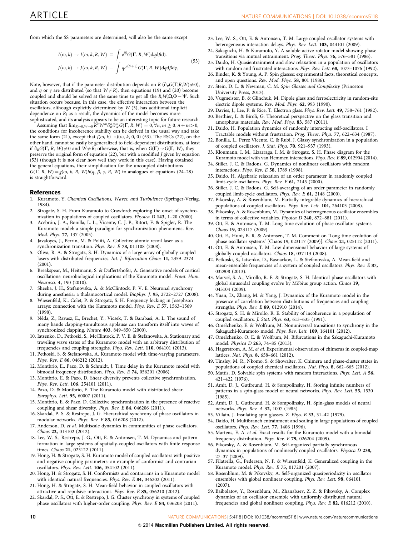<span id="page-9-0"></span>from which the SS parameters are determined, will also be the same except

$$
I(\omega, k) \to I(\omega, k, R, W) \equiv \int e^{i\beta} G(\Gamma, R, W) dq d\beta dy,
$$
  

$$
J(\omega, k) \to J(\omega, k, R, W) \equiv \int q e^{i(\beta + \gamma)} G(\Gamma, R, W) dq d\beta dy,
$$
 (53)

Note, however, that if the parameter distribution depends on R ( $\partial_R G(\Gamma,R,W)\neq 0$ ), and q or  $\gamma$  are distributed (so that  $W \neq R$ ), then equations (19) and (20) become coupled and should be solved at the same time to get all the  $R$ ,  $W$ ,  $\Omega$ ,  $\Phi - \Psi$ . Such situation occurs because, in this case, the effective interaction between the oscillators, although explicitly determined by W (3), has additional implicit dependence on R; as a result, the dynamics of the model becomes more sophisticated, and its analysis appears to be an interesting topic for future research.

Assuming that  $\lim_{R\to 0, W\to 0} R^n W^m \partial_R^n \partial_W^m G(\Gamma, R, W) = 0, \forall n, m \ge 0, n + m > 0,$ the conditions for incoherence stability can be derived in the usual way and take the same form (21), except that  $J(\omega, k) \rightarrow J(\omega, k, 0, 0)$  (53). The ESCs (22), on the other hand, cannot so easily be generalized to field-dependent distributions, at least if  $\partial_R G(\Gamma, R, W) \neq 0$  and  $W \neq R$ ; otherwise, that is, when  $G(\Gamma) \rightarrow G(\Gamma, W)$ , they preserve the original form of equation (22), but with a modified J given by equation (53) (though it is not clear how well they work in this case). Having obtained the general equations, their simplification for the uncoupled distributions  $G(\Gamma, R, W) = g(\omega, k, R, W)h(q, \beta, \gamma, R, W)$  to analogues of equations (24–28) is straightforward.

#### **References**

- 1. Kuramoto, Y. Chemical Oscillations, Waves, and Turbulence (Springer-Verlag, 1984).
- 2. Strogatz, S. H. From Kuramoto to Crawford: exploring the onset of synchronization in populations of coupled oscillators. Physica D 143, 1–20 (2000).
- 3. Acebrón, J. A., Bonilla, L. L., Vicente, C. J. P., Ritort, F. & Spigler, R. The Kuramoto model: a simple paradigm for synchronization phenomena. Rev. Mod. Phys. 77, 137 (2005).
- 4. Javaloyes, J., Perrin, M. & Politi, A. Collective atomic recoil laser as a synchronization transition. Phys. Rev. E 78, 011108 (2008).
- 5. Oliva, R. A. & Strogatz, S. H. Dynamics of a large array of globally coupled lasers with distributed frequencies. Int. J. Bifurcation Chaos 11, 2359–2374 (2001).
- 6. Breakspear, M., Heitmann, S. & Daffertshofer, A. Generative models of cortical oscillations: neurobiological implications of the Kuramoto model. Front. Hum. Neurosci. 4, 190 (2010).
- 7. Sheeba, J. H., Stefanovska, A. & McClintock, P. V. E. Neuronal synchrony during anesthesia: a thalamocortical model. Biophys. J. 95, 2722–2727 (2008).
- 8. Wiesenfeld, K., Colet, P. & Strogatz, S. H. Frequency locking in Josephson arrays: connection with the Kuramoto model. Phys. Rev. E 57, 1563–1569 (1998).
- 9. Néda, Z., Ravasz, E., Brechet, Y., Vicsek, T. & Barabasi, A. L. The sound of many hands clapping-tumultuous applause can transform itself into waves of synchronized clapping. Nature 403, 849–850 (2000).
- 10. Iatsenko, D., Petkoski, S., McClintock, P. V. E. & Stefanovska, A. Stationary and traveling wave states of the Kuramoto model with an arbitrary distribution of frequencies and coupling strengths. Phys. Rev. Lett. 110, 064101 (2013).
- 11. Petkoski, S. & Stefanovska, A. Kuramoto model with time-varying parameters. Phys. Rev. E 86, 046212 (2012).
- 12. Montbrio, E., Pazo, D. & Schmidt, J. Time delay in the Kuramoto model with bimodal frequency distribution. Phys. Rev. E 74, 056201 (2006).
- 13. Montbrio, E. & Pazo, D. Shear diversity prevents collective synchronization. Phys. Rev. Lett. 106, 254101 (2011).
- 14. Pazo, D. & Montbrio, E. The Kuramoto model with distributed shear. Europhys. Lett. 95, 60007 (2011).
- 15. Montbrio, E. & Pazo, D. Collective synchronization in the presence of reactive coupling and shear diversity. Phys. Rev. E 84, 046206 (2011).
- 16. Skardal, P. S. & Restrepo, J. G. Hierarchical synchrony of phase oscillators in modular networks. Phys. Rev. E 85, 016208 (2012).
- 17. Anderson, D. et al. Multiscale dynamics in communities of phase oscillators. Chaos 22, 013102 (2012).
- 18. Lee, W. S., Restrepo, J. G., Ott, E. & Antonsen, T. M. Dynamics and pattern formation in large systems of spatially-coupled oscillators with finite response times. Chaos 21, 023122 (2011).
- 19. Hong, H. & Strogatz, S. H. Kuramoto model of coupled oscillators with positive and negative coupling parameters: an example of conformist and contrarian oscillators. Phys. Rev. Lett. 106, 054102 (2011).
- 20. Hong, H. & Strogatz, S. H. Conformists and contrarians in a Kuramoto model with identical natural frequencies. Phys. Rev. E 84, 046202 (2011).
- 21. Hong, H. & Strogatz, S. H. Mean-field behavior in coupled oscillators with attractive and repulsive interactions. Phys. Rev. E 85, 056210 (2012).
- 22. Skardal, P. S., Ott, E. & Restrepo, J. G. Cluster synchrony in systems of coupled phase oscillators with higher-order coupling. Phys. Rev. E 84, 036208 (2011).
- 23. Lee, W. S., Ott, E. & Antonsen, T. M. Large coupled oscillator systems with heterogeneous interaction delays. Phys. Rev. Lett. 103, 044101 (2009).
- 24. Sakaguchi, H. & Kuramoto, Y. A soluble active rotator model showing phase transitions via mutual entrainment. Prog. Theor. Phys. 76, 576–581 (1986).
- 25. Daido, H. Quasientrainment and slow relaxation in a population of oscillators with random and frustrated interactions. Phys. Rev. Lett. 68, 1073–1076 (1992). 26. Binder, K. & Young, A. P. Spin glasses: experimental facts, theoretical concepts,
- and open questions. Rev. Mod. Phys. 58, 801 (1986). 27. Stein, D. L. & Newman, C. M. Spin Glasses and Complexity (Princeton University Press, 2013).
- 28. Vugmeister, B. & Glinchuk, M. Dipole glass and ferroelectricity in random-site electric dipole systems. Rev. Mod. Phys. 62, 993 (1990).
- 29. Davies, J., Lee, P. & Rice, T. Electron glass. Phys. Rev. Lett. 49, 758–761 (1982). 30. Berthier, L. & Biroli, G. Theoretical perspective on the glass transition and
- amorphous materials. Rev. Mod. Phys. 83, 587 (2011). 31. Daido, H. Population dynamics of randomly interacting self-oscillators. I
- Tractable models without frustration. Prog. Theor. Phys. 77, 622–634 (1987). 32. Bonilla, L., Perez Vicente, C. & Rubi, J. Glassy synchronization in a population of coupled oscillators. J. Stat. Phys. 70, 921–937 (1993).
- 33. Kloumann, I. M., Lizarraga, I. M. & Strogatz, S. H. Phase diagram for the Kuramoto model with van Hemmen interactions. Phys. Rev. E 89, 012904 (2014).
- 34. Stiller, J. C. & Radons, G. Dynamics of nonlinear oscillators with random interactions. Phys. Rev. E 58, 1789 (1998).
- 35. Daido, H. Algebraic relaxation of an order parameter in randomly coupled limit-cycle oscillators. Phys. Rev. E 61, 2145 (2000).
- 36. Stiller, J. C. & Radons, G. Self-averaging of an order parameter in randomly coupled limit-cycle oscillators. Phys. Rev. E 61, 2148 (2000).
- 37. Pikovsky, A. & Rosenblum, M. Partially integrable dynamics of hierarchical populations of coupled oscillators. Phys. Rev. Lett. 101, 264103 (2008).
- 38. Pikovsky, A. & Rosenblum, M. Dynamics of heterogeneous oscillator ensembles in terms of collective variables. Physica D 240, 872–881 (2011).
- 39. Ott, E. & Antonsen, T. M. Long time evolution of phase oscillator systems. Chaos 19, 023117 (2009).
- 40. Ott, E., Hunt, B. R. & Antonsen, T. M. Comment on 'Long time evolution of phase oscillator systems' [Chaos 19, 023117 (2009)]. Chaos 21, 025112 (2011).
- 41. Ott, E. & Antonsen, T. M. Low dimensional behavior of large systems of globally coupled oscillators. Chaos 18, 037113 (2008).
- 42. Petkoski, S., Iatsenko, D., Basnarkov, L. & Stefanovska, A. Mean-field and mean-ensemble frequencies of a system of coupled oscillators. Phys. Rev. E 87, 032908 (2013).
- 43. Marvel, S. A., Mirollo, R. E. & Strogatz, S. H. Identical phase oscillators with global sinusoidal coupling evolve by Möbius group action. Chaos 19, 043104 (2009).
- 44. Yuan, D., Zhang, M. & Yang, J. Dynamics of the Kuramoto model in the presence of correlation between distributions of frequencies and coupling strengths. Phys. Rev. E 89, 012910 (2014).
- 45. Strogatz, S. H. & Mirollo, R. E. Stability of incoherence in a population of coupled oscillators. J. Stat. Phys. 63, 613–635 (1991).
- 46. Omelchenko, E. & Wolfrum, M. Nonuniversal transitions to synchrony in the Sakaguchi-Kuramoto model. Phys. Rev. Lett. 109, 164101 (2012).
- 47. Omelchenko, O. E. & Wolfrum, M. Bifurcations in the Sakaguchi-Kuramoto model. Physica D 263, 74–85 (2013).
- 48. Hagerstrom, A. M. et al. Experimental observation of chimeras in coupled-map lattices. Nat. Phys. 8, 658–661 (2012).
- 49. Tinsley, M. R., Nkomo, S. & Showalter, K. Chimera and phase-cluster states in populations of coupled chemical oscillators. Nat. Phys. 8, 662–665 (2012).
- 50. Mattis, D. Solvable spin systems with random interactions. Phys. Lett. A 56, 421–422 (1976).
- 51. Amit, D. J., Gutfreund, H. & Sompolinsky, H. Storing infinite numbers of patterns in a spin-glass model of neural networks. Phys. Rev. Lett. 55, 1530 (1985).
- 52. Amit, D. J., Gutfreund, H. & Sompolinsky, H. Spin-glass models of neural networks. Phys. Rev. A 32, 1007 (1985).
- 53. Villain, J. Insulating spin glasses. Z. Phys. B 33, 31–42 (1979).
- 54. Daido, H. Multibranch entrainment and scaling in large populations of coupled oscillators. Phys. Rev. Lett. 77, 1406 (1996).
- 55. Martens, E. A. et al. Exact results for the Kuramoto model with a bimodal frequency distribution. Phys. Rev. E 79, 026204 (2009).
- 56. Pikovsky, A. & Rosenblum, M. Self-organized partially synchronous dynamics in populations of nonlinearly coupled oscillators. Physica D 238,
- 27–37 (2009). 57. Filatrella, G., Pedersen, N. F. & Wiesenfeld, K. Generalized coupling in the Kuramoto model. Phys. Rev. E 75, 017201 (2007).
- 58. Rosenblum, M. & Pikovsky, A. Self-organized quasiperiodicity in oscillator ensembles with global nonlinear coupling. Phys. Rev. Lett. 98, 064101 (2007).
- 59. Baibolatov, Y., Rosenblum, M., Zhanabaev, Z. Z. & Pikovsky, A. Complex dynamics of an oscillator ensemble with uniformly distributed natural frequencies and global nonlinear coupling. Phys. Rev. E 82, 016212 (2010).